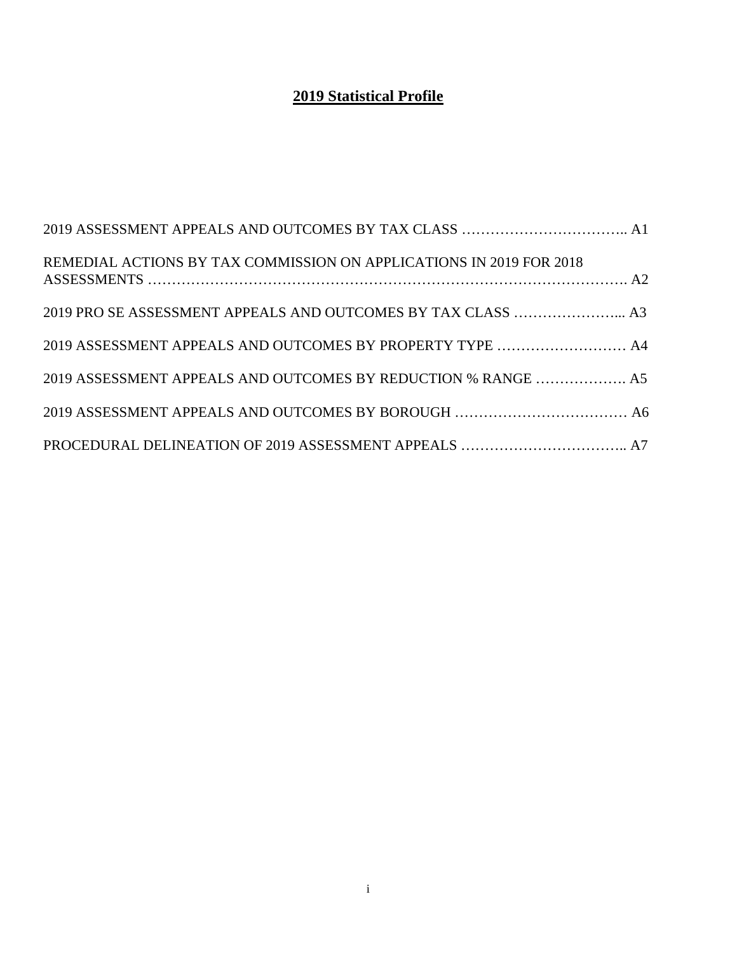## **2019 Statistical Profile**

| REMEDIAL ACTIONS BY TAX COMMISSION ON APPLICATIONS IN 2019 FOR 2018 |  |
|---------------------------------------------------------------------|--|
|                                                                     |  |
| 2019 ASSESSMENT APPEALS AND OUTCOMES BY PROPERTY TYPE  A4           |  |
| 2019 ASSESSMENT APPEALS AND OUTCOMES BY REDUCTION % RANGE  A5       |  |
|                                                                     |  |
|                                                                     |  |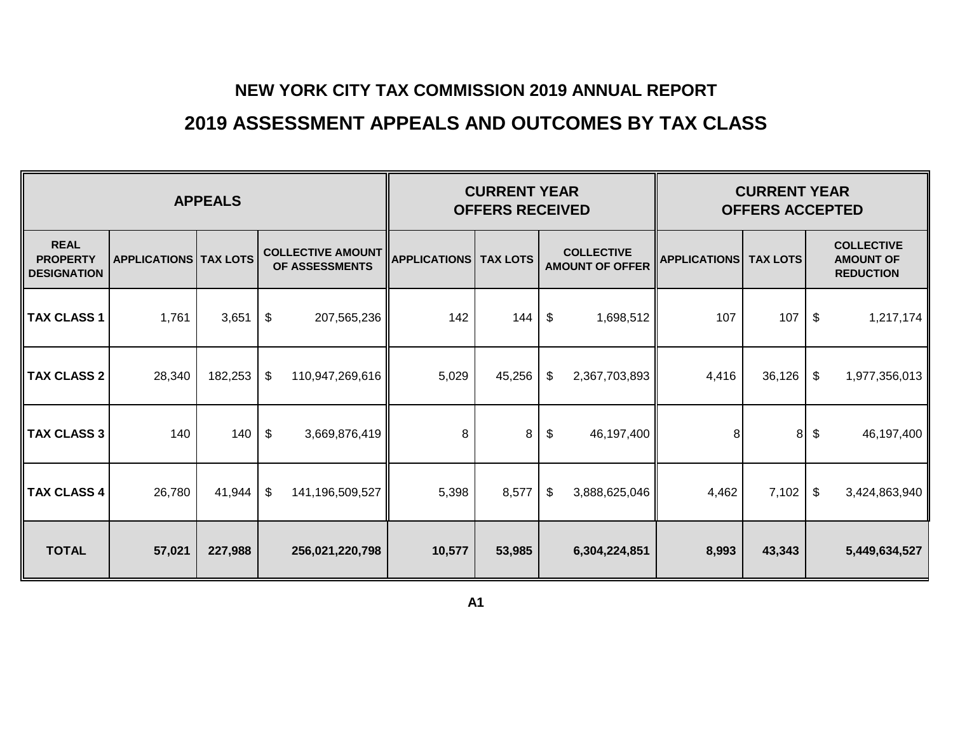# **2019 ASSESSMENT APPEALS AND OUTCOMES BY TAX CLASS**

| <b>APPEALS</b>                                       |                                |         |                                            |                 |                                | <b>CURRENT YEAR</b><br><b>OFFERS RECEIVED</b> |    | <b>CURRENT YEAR</b><br><b>OFFERS ACCEPTED</b> |                     |                 |    |                                                           |
|------------------------------------------------------|--------------------------------|---------|--------------------------------------------|-----------------|--------------------------------|-----------------------------------------------|----|-----------------------------------------------|---------------------|-----------------|----|-----------------------------------------------------------|
| <b>REAL</b><br><b>PROPERTY</b><br><b>DESIGNATION</b> | <b>APPLICATIONS   TAX LOTS</b> |         | <b>COLLECTIVE AMOUNT</b><br>OF ASSESSMENTS |                 | <b>APPLICATIONS   TAX LOTS</b> |                                               |    | <b>COLLECTIVE</b><br><b>AMOUNT OF OFFER</b>   | <b>APPLICATIONS</b> | <b>TAX LOTS</b> |    | <b>COLLECTIVE</b><br><b>AMOUNT OF</b><br><b>REDUCTION</b> |
| <b>TAX CLASS 1</b>                                   | 1,761                          | 3,651   | \$                                         | 207,565,236     | 142                            | 144                                           | \$ | 1,698,512                                     | 107                 | 107             | \$ | 1,217,174                                                 |
| <b>TAX CLASS 2</b>                                   | 28,340                         | 182,253 | $\boldsymbol{\mathsf{\$}}$                 | 110,947,269,616 | 5,029                          | 45,256                                        | \$ | 2,367,703,893                                 | 4,416               | 36,126          | \$ | 1,977,356,013                                             |
| <b>TAX CLASS 3</b>                                   | 140                            | 140     | $\sqrt[6]{\frac{1}{2}}$                    | 3,669,876,419   | 8                              | 8                                             | \$ | 46,197,400                                    | 8                   | 8               | \$ | 46,197,400                                                |
| <b>TAX CLASS 4</b>                                   | 26,780                         | 41,944  | \$                                         | 141,196,509,527 | 5,398                          | 8,577                                         | \$ | 3,888,625,046                                 | 4,462               | 7,102           | \$ | 3,424,863,940                                             |
| <b>TOTAL</b>                                         | 57,021                         | 227,988 |                                            | 256,021,220,798 | 10,577                         | 53,985                                        |    | 6,304,224,851                                 | 8,993               | 43,343          |    | 5,449,634,527                                             |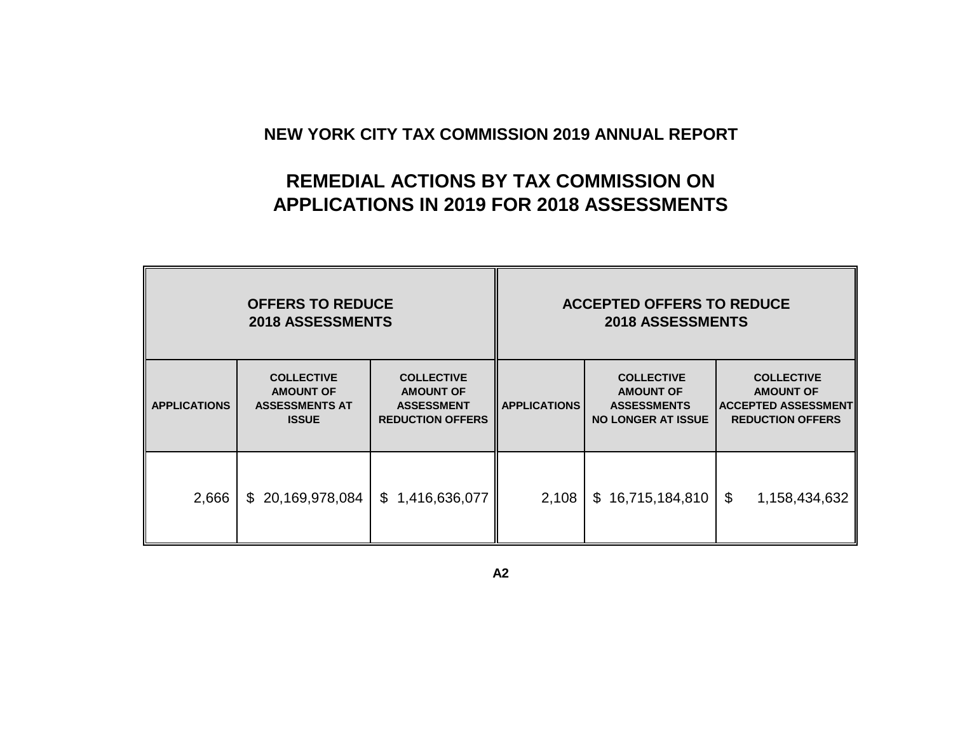# **REMEDIAL ACTIONS BY TAX COMMISSION ON APPLICATIONS IN 2019 FOR 2018 ASSESSMENTS**

|                     | <b>OFFERS TO REDUCE</b><br><b>2018 ASSESSMENTS</b>                                                                                                                      |                 | <b>ACCEPTED OFFERS TO REDUCE</b><br><b>2018 ASSESSMENTS</b> |                                                                                          |                                                                                                |  |  |  |  |
|---------------------|-------------------------------------------------------------------------------------------------------------------------------------------------------------------------|-----------------|-------------------------------------------------------------|------------------------------------------------------------------------------------------|------------------------------------------------------------------------------------------------|--|--|--|--|
| <b>APPLICATIONS</b> | <b>COLLECTIVE</b><br><b>COLLECTIVE</b><br><b>AMOUNT OF</b><br><b>AMOUNT OF</b><br><b>ASSESSMENTS AT</b><br><b>ASSESSMENT</b><br><b>ISSUE</b><br><b>REDUCTION OFFERS</b> |                 | <b>APPLICATIONS</b>                                         | <b>COLLECTIVE</b><br><b>AMOUNT OF</b><br><b>ASSESSMENTS</b><br><b>NO LONGER AT ISSUE</b> | <b>COLLECTIVE</b><br><b>AMOUNT OF</b><br><b>ACCEPTED ASSESSMENT</b><br><b>REDUCTION OFFERS</b> |  |  |  |  |
| 2,666               | \$20,169,978,084                                                                                                                                                        | \$1,416,636,077 | 2,108                                                       | \$16,715,184,810                                                                         | \$<br>1,158,434,632                                                                            |  |  |  |  |

**A2**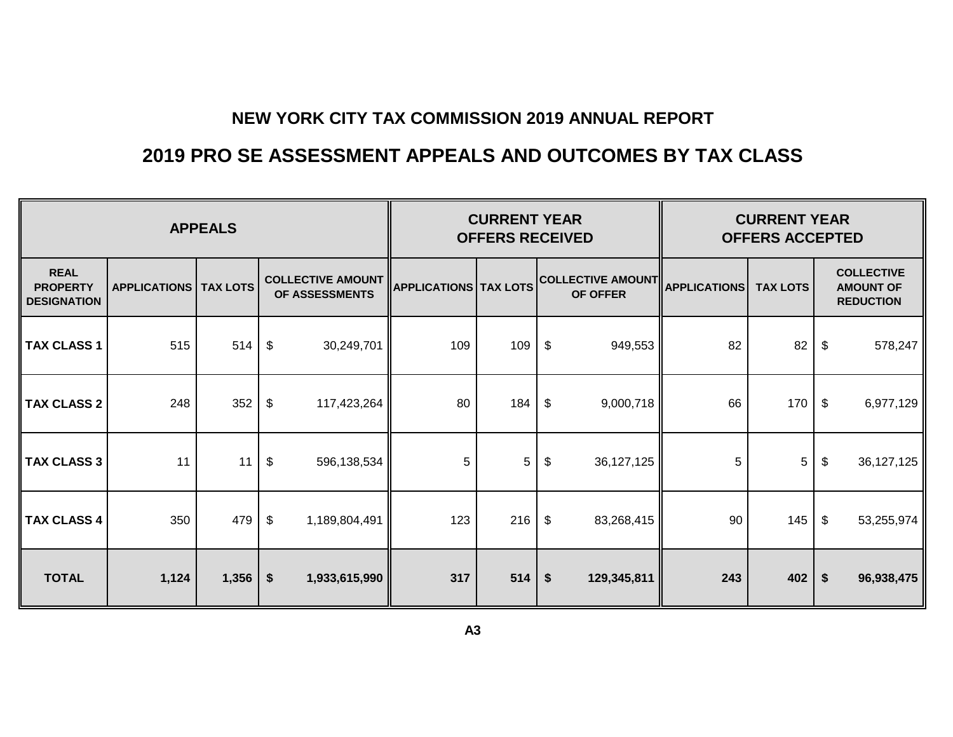# **2019 PRO SE ASSESSMENT APPEALS AND OUTCOMES BY TAX CLASS**

|                                                      |                                | <b>CURRENT YEAR</b><br><b>OFFERS RECEIVED</b> |                                               |                              | <b>CURRENT YEAR</b><br><b>OFFERS ACCEPTED</b> |                            |                                       |                     |                 |    |                                                           |
|------------------------------------------------------|--------------------------------|-----------------------------------------------|-----------------------------------------------|------------------------------|-----------------------------------------------|----------------------------|---------------------------------------|---------------------|-----------------|----|-----------------------------------------------------------|
| <b>REAL</b><br><b>PROPERTY</b><br><b>DESIGNATION</b> | <b>APPLICATIONS   TAX LOTS</b> |                                               | <b>COLLECTIVE AMOUNT</b><br>OF ASSESSMENTS    | <b>APPLICATIONS TAX LOTS</b> |                                               |                            | <b>COLLECTIVE AMOUNT </b><br>OF OFFER | <b>APPLICATIONS</b> | <b>TAX LOTS</b> |    | <b>COLLECTIVE</b><br><b>AMOUNT OF</b><br><b>REDUCTION</b> |
| <b>TAX CLASS 1</b>                                   | 515                            | 514                                           | \$<br>30,249,701                              | 109                          | 109                                           | $\boldsymbol{\mathsf{\$}}$ | 949,553                               | 82                  | 82              | \$ | 578,247                                                   |
| <b>TAX CLASS 2</b>                                   | 248                            | 352                                           | \$<br>117,423,264                             | 80                           | 184                                           | \$                         | 9,000,718                             | 66                  | 170             | \$ | 6,977,129                                                 |
| <b>TAX CLASS 3</b>                                   | 11                             | 11                                            | \$<br>596,138,534                             | 5                            | 5                                             | $\boldsymbol{\mathsf{\$}}$ | 36, 127, 125                          | 5                   | 5               | \$ | 36, 127, 125                                              |
| <b>TAX CLASS 4</b>                                   | 350                            | 479                                           | $\boldsymbol{\hat{\varphi}}$<br>1,189,804,491 | 123                          | 216                                           | $\sqrt[6]{3}$              | 83,268,415                            | 90                  | 145             | \$ | 53,255,974                                                |
| <b>TOTAL</b>                                         | 1,124                          | 1,356                                         | $\boldsymbol{\hat{z}}$<br>1,933,615,990       | 317                          | 514                                           | $\frac{2}{3}$              | 129,345,811                           | 243                 | 402             | \$ | 96,938,475                                                |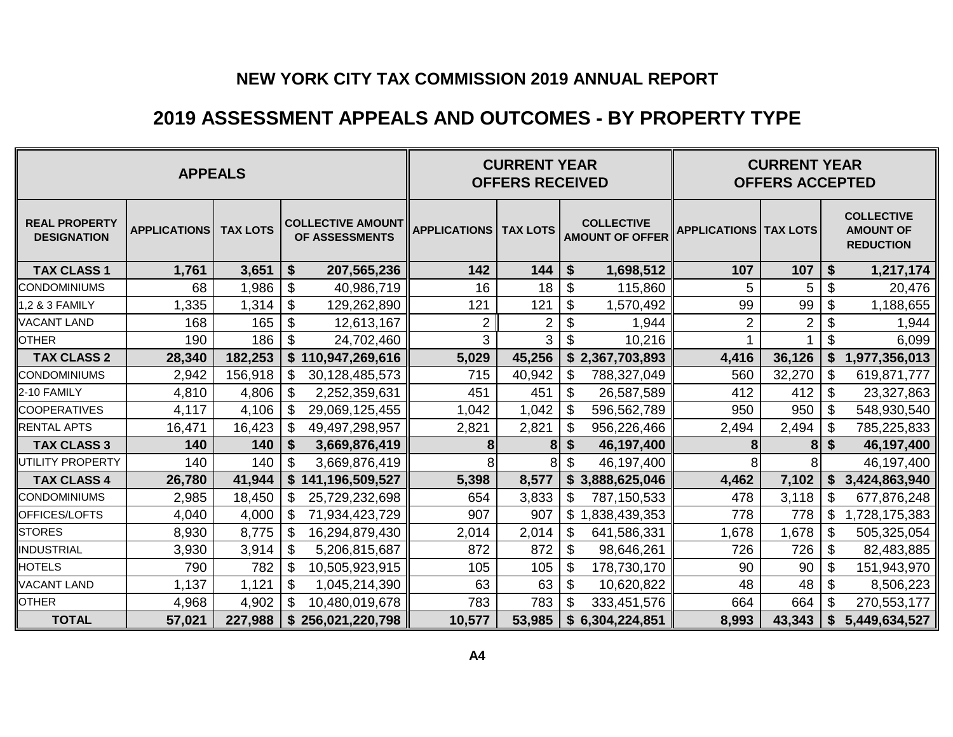## **2019 ASSESSMENT APPEALS AND OUTCOMES - BY PROPERTY TYPE**

|                                            | <b>CURRENT YEAR</b><br><b>CURRENT YEAR</b><br><b>OFFERS RECEIVED</b><br><b>OFFERS ACCEPTED</b> |                 |                                             |                                |        |                            |                                             |                                |                |                            |                                                           |
|--------------------------------------------|------------------------------------------------------------------------------------------------|-----------------|---------------------------------------------|--------------------------------|--------|----------------------------|---------------------------------------------|--------------------------------|----------------|----------------------------|-----------------------------------------------------------|
| <b>REAL PROPERTY</b><br><b>DESIGNATION</b> | <b>APPLICATIONS</b>                                                                            | <b>TAX LOTS</b> | <b>COLLECTIVE AMOUNT</b><br>OF ASSESSMENTS  | <b>APPLICATIONS   TAX LOTS</b> |        |                            | <b>COLLECTIVE</b><br><b>AMOUNT OF OFFER</b> | <b>APPLICATIONS   TAX LOTS</b> |                |                            | <b>COLLECTIVE</b><br><b>AMOUNT OF</b><br><b>REDUCTION</b> |
| <b>TAX CLASS 1</b>                         | 1,761                                                                                          | 3,651           | \$<br>207,565,236                           | 142                            | 144    | \$                         | 1,698,512                                   | 107                            | 107            | \$                         | 1,217,174                                                 |
| <b>CONDOMINIUMS</b>                        | 68                                                                                             | 1,986           | $\boldsymbol{\mathsf{S}}$<br>40,986,719     | 16                             | 18     | $\boldsymbol{\theta}$      | 115,860                                     | 5                              | 5              | $\boldsymbol{\theta}$      | 20,476                                                    |
| 1,2 & 3 FAMILY                             | ,335                                                                                           | 1,314           | $\$\$<br>129,262,890                        | 121                            | 121    | \$                         | 1,570,492                                   | 99                             | 99             | $\boldsymbol{\mathsf{S}}$  | 1,188,655                                                 |
| <b>VACANT LAND</b>                         | 168                                                                                            | 165             | $\boldsymbol{\mathsf{S}}$<br>12,613,167     | $\overline{2}$                 | 2      | $\boldsymbol{\mathsf{S}}$  | 1,944                                       | $\overline{2}$                 | $\overline{2}$ | $\boldsymbol{\mathsf{S}}$  | 1,944                                                     |
| <b>OTHER</b>                               | 190                                                                                            | 186             | $\boldsymbol{\mathsf{S}}$<br>24,702,460     | 3                              | 3      | $\boldsymbol{\mathsf{S}}$  | 10,216                                      |                                |                | $\boldsymbol{\mathsf{S}}$  | 6,099                                                     |
| <b>TAX CLASS 2</b>                         | 28,340                                                                                         | 182,253         | \$110,947,269,616                           | 5,029                          | 45,256 |                            | \$2,367,703,893                             | 4,416                          | 36,126         | \$                         | 1,977,356,013                                             |
| <b>CONDOMINIUMS</b>                        | 2,942                                                                                          | 156,918         | \$<br>30,128,485,573                        | 715                            | 40,942 | \$                         | 788,327,049                                 | 560                            | 32,270         | \$                         | 619,871,777                                               |
| 2-10 FAMILY                                | 4,810                                                                                          | 4,806           | \$<br>2,252,359,631                         | 451                            | 451    | \$                         | 26,587,589                                  | 412                            | 412            | \$                         | 23,327,863                                                |
| <b>COOPERATIVES</b>                        | 4,117                                                                                          | 4,106           | $\boldsymbol{\mathsf{S}}$<br>29,069,125,455 | 1,042                          | 1,042  | \$                         | 596,562,789                                 | 950                            | 950            | $\boldsymbol{\mathsf{S}}$  | 548,930,540                                               |
| <b>RENTAL APTS</b>                         | 16,471                                                                                         | 16,423          | \$<br>49,497,298,957                        | 2,821                          | 2,821  | \$                         | 956,226,466                                 | 2,494                          | 2,494          | $\boldsymbol{\mathsf{S}}$  | 785,225,833                                               |
| <b>TAX CLASS 3</b>                         | 140                                                                                            | 140             | \$<br>3,669,876,419                         | 8                              | 8      | \$                         | 46,197,400                                  | 8                              | 8              | \$                         | 46,197,400                                                |
| UTILITY PROPERTY                           | 140                                                                                            | 140             | \$<br>3,669,876,419                         | 8                              | 8      | \$                         | 46,197,400                                  |                                |                |                            | 46,197,400                                                |
| <b>TAX CLASS 4</b>                         | 26,780                                                                                         | 41,944          | \$141,196,509,527                           | 5,398                          | 8,577  |                            | \$3,888,625,046                             | 4,462                          | 7,102          | \$                         | 3,424,863,940                                             |
| <b>CONDOMINIUMS</b>                        | 2,985                                                                                          | 18,450          | \$<br>25,729,232,698                        | 654                            | 3,833  | $\boldsymbol{\mathsf{\$}}$ | 787,150,533                                 | 478                            | 3,118          | $\boldsymbol{\mathcal{F}}$ | 677,876,248                                               |
| OFFICES/LOFTS                              | 4,040                                                                                          | 4,000           | \$<br>71,934,423,729                        | 907                            | 907    | \$                         | ,838,439,353                                | 778                            | 778            | \$                         | 1,728,175,383                                             |
| <b>STORES</b>                              | 8,930                                                                                          | 8,775           | $\$\$<br>16,294,879,430                     | 2,014                          | 2,014  | \$                         | 641,586,331                                 | 1,678                          | 1,678          | $\boldsymbol{\theta}$      | 505,325,054                                               |
| <b>INDUSTRIAL</b>                          | 3,930                                                                                          | 3,914           | $\boldsymbol{\mathsf{S}}$<br>5,206,815,687  | 872                            | 872    | \$                         | 98,646,261                                  | 726                            | 726            | $\$\$                      | 82,483,885                                                |
| <b>HOTELS</b>                              | 790                                                                                            | 782             | \$<br>10,505,923,915                        | 105                            | 105    | \$                         | 178,730,170                                 | 90                             | 90             | \$                         | 151,943,970                                               |
| <b>VACANT LAND</b>                         | 1,137                                                                                          | 1,121           | \$<br>1,045,214,390                         | 63                             | 63     | \$                         | 10,620,822                                  | 48                             | 48             | $\boldsymbol{\mathsf{S}}$  | 8,506,223                                                 |
| <b>OTHER</b>                               | 4,968                                                                                          | 4,902           | $\mathfrak{S}$<br>10,480,019,678            | 783                            | 783    | $\mathbb{S}$               | 333,451,576                                 | 664                            | 664            | \$                         | 270,553,177                                               |
| <b>TOTAL</b>                               | 57,021                                                                                         | 227,988         | \$<br>256,021,220,798                       | 10,577                         | 53,985 |                            | \$6,304,224,851                             | 8,993                          | 43,343         | \$                         | 5,449,634,527                                             |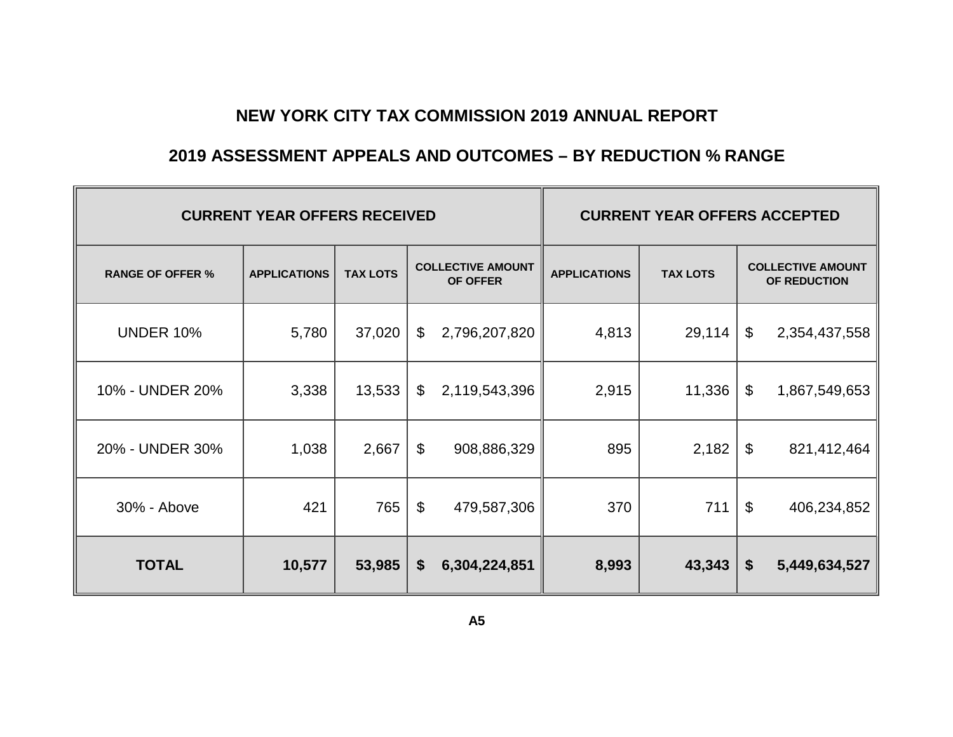### **2019 ASSESSMENT APPEALS AND OUTCOMES – BY REDUCTION % RANGE**

|                         | <b>CURRENT YEAR OFFERS RECEIVED</b> | <b>CURRENT YEAR OFFERS ACCEPTED</b> |                           |                                      |                     |                 |    |                                          |  |  |
|-------------------------|-------------------------------------|-------------------------------------|---------------------------|--------------------------------------|---------------------|-----------------|----|------------------------------------------|--|--|
| <b>RANGE OF OFFER %</b> | <b>APPLICATIONS</b>                 | <b>TAX LOTS</b>                     |                           | <b>COLLECTIVE AMOUNT</b><br>OF OFFER | <b>APPLICATIONS</b> | <b>TAX LOTS</b> |    | <b>COLLECTIVE AMOUNT</b><br>OF REDUCTION |  |  |
| <b>UNDER 10%</b>        | 5,780                               | 37,020                              | \$                        | 2,796,207,820                        | 4,813               | 29,114          | \$ | 2,354,437,558                            |  |  |
| 10% - UNDER 20%         | 3,338                               | 13,533                              | $\boldsymbol{\mathsf{S}}$ | 2,119,543,396                        | 2,915               | 11,336          | \$ | 1,867,549,653                            |  |  |
| 20% - UNDER 30%         | 1,038                               | 2,667                               | \$                        | 908,886,329                          | 895                 | 2,182           | \$ | 821,412,464                              |  |  |
| 30% - Above             | 421                                 | 765                                 | \$                        | 479,587,306                          | 370                 | 711             | \$ | 406,234,852                              |  |  |
| <b>TOTAL</b>            | 10,577                              | 53,985                              | \$                        | 6,304,224,851                        | 8,993               | 43,343          | \$ | 5,449,634,527                            |  |  |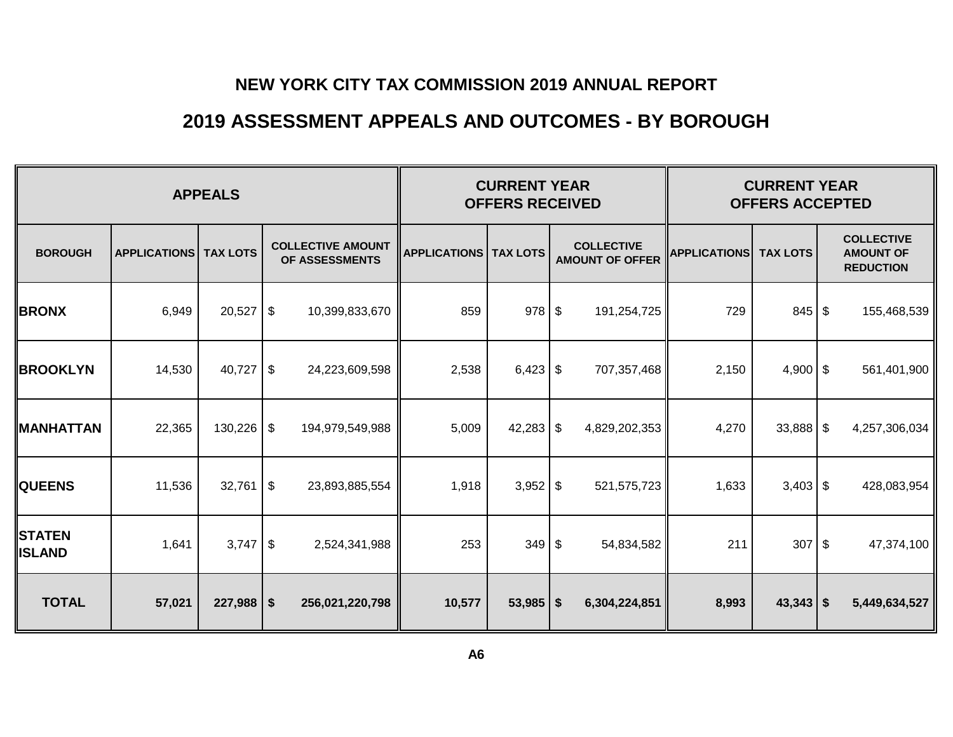### **2019 ASSESSMENT APPEALS AND OUTCOMES - BY BOROUGH**

|                                |                     | <b>CURRENT YEAR</b><br><b>OFFERS RECEIVED</b> |                                            | <b>CURRENT YEAR</b><br><b>OFFERS ACCEPTED</b> |             |  |                                             |                     |                 |            |                                                           |
|--------------------------------|---------------------|-----------------------------------------------|--------------------------------------------|-----------------------------------------------|-------------|--|---------------------------------------------|---------------------|-----------------|------------|-----------------------------------------------------------|
| <b>BOROUGH</b>                 | <b>APPLICATIONS</b> | <b>TAX LOTS</b>                               | <b>COLLECTIVE AMOUNT</b><br>OF ASSESSMENTS | <b>APPLICATIONS   TAX LOTS</b>                |             |  | <b>COLLECTIVE</b><br><b>AMOUNT OF OFFER</b> | <b>APPLICATIONS</b> | <b>TAX LOTS</b> |            | <b>COLLECTIVE</b><br><b>AMOUNT OF</b><br><b>REDUCTION</b> |
| <b>BRONX</b>                   | 6,949               | 20,527                                        | \$<br>10,399,833,670                       | 859                                           | $978$ \$    |  | 191,254,725                                 | 729                 | $845$ \$        |            | 155,468,539                                               |
| <b>BROOKLYN</b>                | 14,530              | 40,727                                        | \$<br>24,223,609,598                       | 2,538                                         | $6,423$ \$  |  | 707,357,468                                 | 2,150               | $4,900$ \$      |            | 561,401,900                                               |
| <b>MANHATTAN</b>               | 22,365              | 130,226                                       | \$<br>194,979,549,988                      | 5,009                                         | $42,283$ \$ |  | 4,829,202,353                               | 4,270               | $33,888$ \$     |            | 4,257,306,034                                             |
| <b>QUEENS</b>                  | 11,536              | 32,761                                        | $\frac{1}{2}$<br>23,893,885,554            | 1,918                                         | $3,952$ \$  |  | 521,575,723                                 | 1,633               | $3,403$ \$      |            | 428,083,954                                               |
| <b>STATEN</b><br><b>ISLAND</b> | 1,641               | 3,747                                         | \$<br>2,524,341,988                        | 253                                           | $349$ \$    |  | 54,834,582                                  | 211                 | 307             | $\sqrt{3}$ | 47,374,100                                                |
| <b>TOTAL</b>                   | 57,021              | $227,988$ \$                                  | 256,021,220,798                            | 10,577                                        | $53,985$ \$ |  | 6,304,224,851                               | 8,993               | $43,343$ \ \\$  |            | 5,449,634,527                                             |